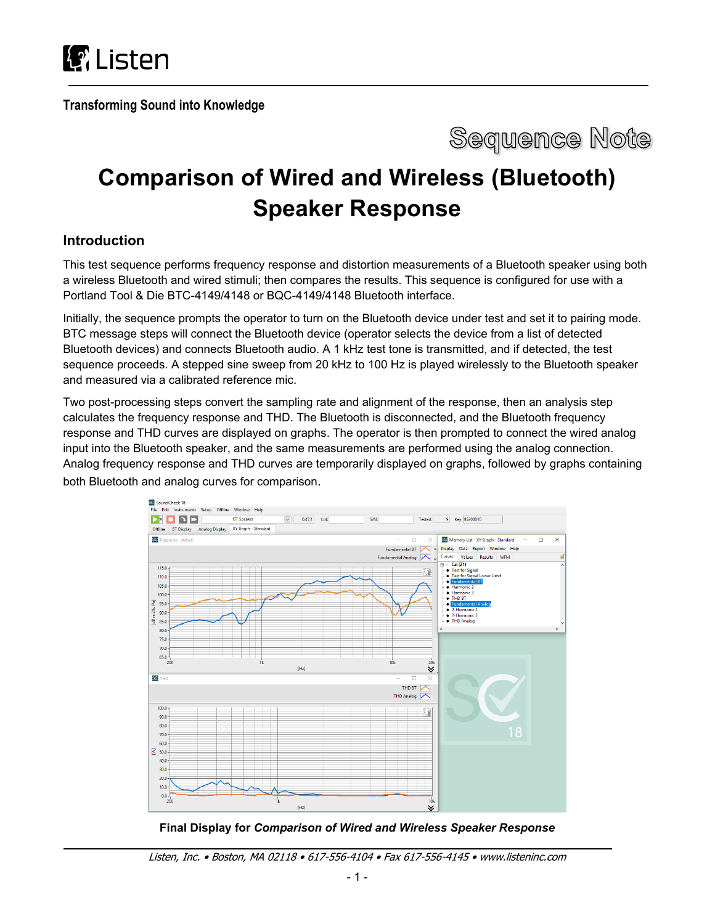

**Transforming Sound into Knowledge**



# **Comparison of Wired and Wireless (Bluetooth) Speaker Response**

# **Introduction**

This test sequence performs frequency response and distortion measurements of a Bluetooth speaker using both a wireless Bluetooth and wired stimuli; then compares the results. This sequence is configured for use with a Portland Tool & Die BTC-4149/4148 or BQC-4149/4148 Bluetooth interface.

Initially, the sequence prompts the operator to turn on the Bluetooth device under test and set it to pairing mode. BTC message steps will connect the Bluetooth device (operator selects the device from a list of detected Bluetooth devices) and connects Bluetooth audio. A 1 kHz test tone is transmitted, and if detected, the test sequence proceeds. A stepped sine sweep from 20 kHz to 100 Hz is played wirelessly to the Bluetooth speaker and measured via a calibrated reference mic.

Two post-processing steps convert the sampling rate and alignment of the response, then an analysis step calculates the frequency response and THD. The Bluetooth is disconnected, and the Bluetooth frequency response and THD curves are displayed on graphs. The operator is then prompted to connect the wired analog input into the Bluetooth speaker, and the same measurements are performed using the analog connection. Analog frequency response and THD curves are temporarily displayed on graphs, followed by graphs containing both Bluetooth and analog curves for comparison.



**Final Display for** *Comparison of Wired and Wireless Speaker Response*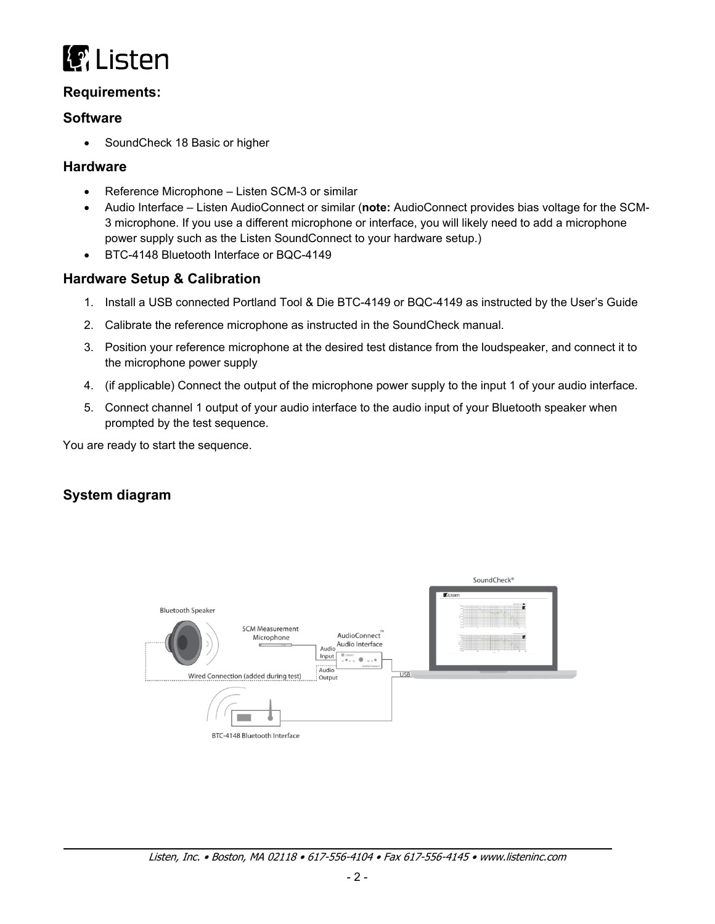

# **Requirements:**

#### **Software**

• SoundCheck 18 Basic or higher

#### **Hardware**

- Reference Microphone Listen SCM-3 or similar
- Audio Interface Listen AudioConnect or similar (**note:** AudioConnect provides bias voltage for the SCM-3 microphone. If you use a different microphone or interface, you will likely need to add a microphone power supply such as the Listen SoundConnect to your hardware setup.)
- BTC-4148 Bluetooth Interface or BQC-4149

### **Hardware Setup & Calibration**

- 1. Install a USB connected Portland Tool & Die BTC-4149 or BQC-4149 as instructed by the User's Guide
- 2. Calibrate the reference microphone as instructed in the SoundCheck manual.
- 3. Position your reference microphone at the desired test distance from the loudspeaker, and connect it to the microphone power supply
- 4. (if applicable) Connect the output of the microphone power supply to the input 1 of your audio interface.
- 5. Connect channel 1 output of your audio interface to the audio input of your Bluetooth speaker when prompted by the test sequence.

You are ready to start the sequence.

# **System diagram**